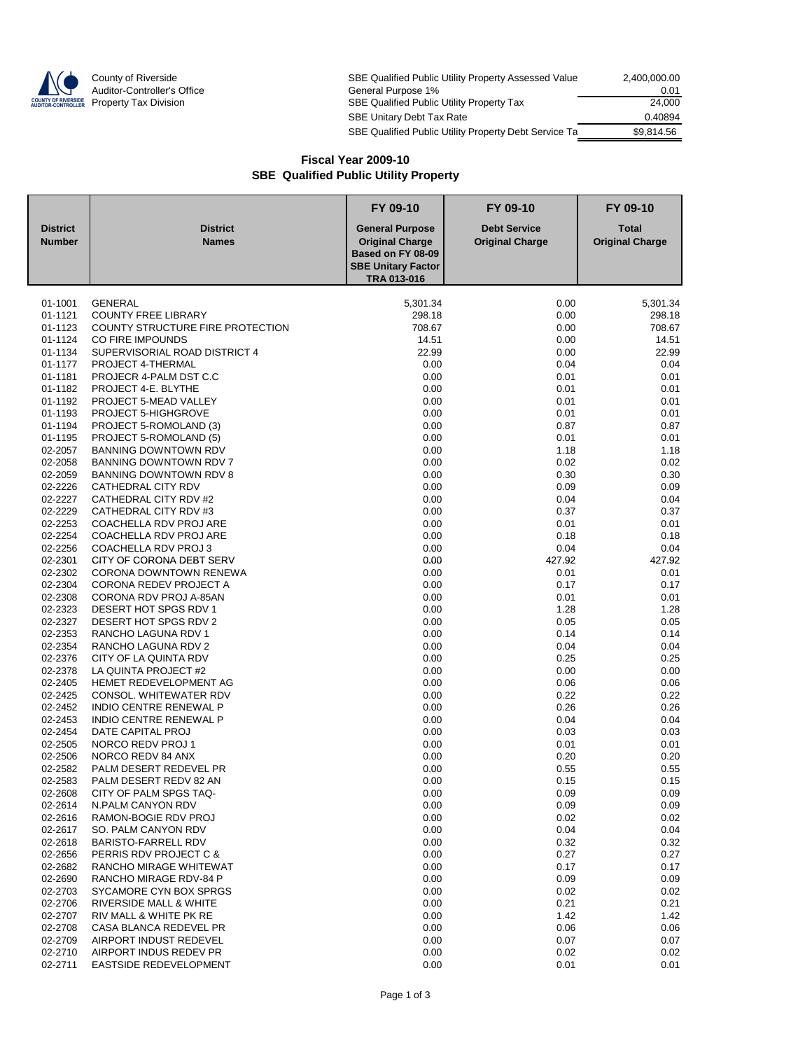

| County of Riverside         | SBE Qualified Public Utility Property Assessed Value  | 2,400,000.00 |
|-----------------------------|-------------------------------------------------------|--------------|
| Auditor-Controller's Office | General Purpose 1%                                    | 0.01         |
| Property Tax Division       | SBE Qualified Public Utility Property Tax             | 24.000       |
|                             | SBE Unitary Debt Tax Rate                             | 0.40894      |
|                             | SBE Qualified Public Utility Property Debt Service Ta | \$9.814.56   |

## **Fiscal Year 2009-10 SBE Qualified Public Utility Property**

|                    |                                                         | FY 09-10                                       | FY 09-10               | FY 09-10               |
|--------------------|---------------------------------------------------------|------------------------------------------------|------------------------|------------------------|
| <b>District</b>    | <b>District</b>                                         | <b>General Purpose</b>                         | <b>Debt Service</b>    | <b>Total</b>           |
| <b>Number</b>      | <b>Names</b>                                            | <b>Original Charge</b>                         | <b>Original Charge</b> | <b>Original Charge</b> |
|                    |                                                         | Based on FY 08-09<br><b>SBE Unitary Factor</b> |                        |                        |
|                    |                                                         | TRA 013-016                                    |                        |                        |
| 01-1001            | <b>GENERAL</b>                                          | 5,301.34                                       | 0.00                   | 5,301.34               |
| 01-1121            | <b>COUNTY FREE LIBRARY</b>                              | 298.18                                         | 0.00                   | 298.18                 |
| 01-1123            | COUNTY STRUCTURE FIRE PROTECTION                        | 708.67                                         | 0.00                   | 708.67                 |
| 01-1124            | <b>CO FIRE IMPOUNDS</b>                                 | 14.51                                          | 0.00                   | 14.51                  |
| 01-1134            | SUPERVISORIAL ROAD DISTRICT 4                           | 22.99                                          | 0.00                   | 22.99                  |
| 01-1177            | PROJECT 4-THERMAL                                       | 0.00                                           | 0.04                   | 0.04                   |
| 01-1181            | PROJECR 4-PALM DST C.C                                  | 0.00                                           | 0.01                   | 0.01                   |
| 01-1182            | PROJECT 4-E. BLYTHE                                     | 0.00                                           | 0.01                   | 0.01                   |
| 01-1192            | PROJECT 5-MEAD VALLEY                                   | 0.00                                           | 0.01                   | 0.01                   |
| 01-1193            | PROJECT 5-HIGHGROVE                                     | 0.00                                           | 0.01                   | 0.01                   |
| 01-1194            | PROJECT 5-ROMOLAND (3)                                  | 0.00                                           | 0.87                   | 0.87                   |
| 01-1195<br>02-2057 | PROJECT 5-ROMOLAND (5)<br><b>BANNING DOWNTOWN RDV</b>   | 0.00<br>0.00                                   | 0.01<br>1.18           | 0.01<br>1.18           |
| 02-2058            | BANNING DOWNTOWN RDV 7                                  | 0.00                                           | 0.02                   | 0.02                   |
| 02-2059            | BANNING DOWNTOWN RDV 8                                  | 0.00                                           | 0.30                   | 0.30                   |
| 02-2226            | CATHEDRAL CITY RDV                                      | 0.00                                           | 0.09                   | 0.09                   |
| 02-2227            | CATHEDRAL CITY RDV #2                                   | 0.00                                           | 0.04                   | 0.04                   |
| 02-2229            | CATHEDRAL CITY RDV #3                                   | 0.00                                           | 0.37                   | 0.37                   |
| 02-2253            | COACHELLA RDV PROJ ARE                                  | 0.00                                           | 0.01                   | 0.01                   |
| 02-2254            | COACHELLA RDV PROJ ARE                                  | 0.00                                           | 0.18                   | 0.18                   |
| 02-2256            | COACHELLA RDV PROJ 3                                    | 0.00                                           | 0.04                   | 0.04                   |
| 02-2301            | CITY OF CORONA DEBT SERV                                | 0.00                                           | 427.92                 | 427.92                 |
| 02-2302            | CORONA DOWNTOWN RENEWA                                  | 0.00                                           | 0.01                   | 0.01                   |
| 02-2304            | <b>CORONA REDEV PROJECT A</b>                           | 0.00                                           | 0.17                   | 0.17                   |
| 02-2308            | CORONA RDV PROJ A-85AN                                  | 0.00                                           | 0.01                   | 0.01                   |
| 02-2323            | DESERT HOT SPGS RDV 1                                   | 0.00                                           | 1.28                   | 1.28                   |
| 02-2327            | DESERT HOT SPGS RDV 2                                   | 0.00                                           | 0.05                   | 0.05                   |
| 02-2353            | RANCHO LAGUNA RDV 1                                     | 0.00                                           | 0.14                   | 0.14                   |
| 02-2354            | RANCHO LAGUNA RDV 2                                     | 0.00                                           | 0.04                   | 0.04                   |
| 02-2376<br>02-2378 | CITY OF LA QUINTA RDV                                   | 0.00                                           | 0.25                   | 0.25                   |
| 02-2405            | LA QUINTA PROJECT #2<br>HEMET REDEVELOPMENT AG          | 0.00<br>0.00                                   | 0.00                   | 0.00                   |
| 02-2425            | CONSOL. WHITEWATER RDV                                  | 0.00                                           | 0.06<br>0.22           | 0.06<br>0.22           |
| 02-2452            | <b>INDIO CENTRE RENEWAL P</b>                           | 0.00                                           | 0.26                   | 0.26                   |
| 02-2453            | <b>INDIO CENTRE RENEWAL P</b>                           | 0.00                                           | 0.04                   | 0.04                   |
| 02-2454            | DATE CAPITAL PROJ                                       | 0.00                                           | 0.03                   | 0.03                   |
| 02-2505            | NORCO REDV PROJ 1                                       | 0.00                                           | 0.01                   | 0.01                   |
| 02-2506            | NORCO REDV 84 ANX                                       | 0.00                                           | 0.20                   | 0.20                   |
| 02-2582            | PALM DESERT REDEVEL PR                                  | 0.00                                           | 0.55                   | 0.55                   |
| 02-2583            | PALM DESERT REDV 82 AN                                  | 0.00                                           | 0.15                   | 0.15                   |
| 02-2608            | CITY OF PALM SPGS TAQ-                                  | 0.00                                           | 0.09                   | 0.09                   |
| 02-2614            | N.PALM CANYON RDV                                       | 0.00                                           | 0.09                   | 0.09                   |
| 02-2616            | RAMON-BOGIE RDV PROJ                                    | 0.00                                           | 0.02                   | 0.02                   |
| 02-2617            | SO. PALM CANYON RDV                                     | 0.00                                           | 0.04                   | 0.04                   |
| 02-2618            | BARISTO-FARRELL RDV                                     | 0.00                                           | 0.32                   | 0.32                   |
| 02-2656            | PERRIS RDV PROJECT C &                                  | 0.00                                           | 0.27                   | 0.27                   |
| 02-2682            | RANCHO MIRAGE WHITEWAT                                  | 0.00                                           | 0.17                   | 0.17                   |
| 02-2690            | RANCHO MIRAGE RDV-84 P                                  | 0.00                                           | 0.09                   | 0.09                   |
| 02-2703            | SYCAMORE CYN BOX SPRGS                                  | 0.00                                           | 0.02                   | 0.02                   |
| 02-2706            | <b>RIVERSIDE MALL &amp; WHITE</b>                       | 0.00                                           | 0.21                   | 0.21                   |
| 02-2707<br>02-2708 | RIV MALL & WHITE PK RE<br><b>CASA BLANCA REDEVEL PR</b> | 0.00                                           | 1.42                   | 1.42                   |
| 02-2709            | AIRPORT INDUST REDEVEL                                  | 0.00<br>0.00                                   | 0.06<br>0.07           | 0.06<br>0.07           |
| 02-2710            | AIRPORT INDUS REDEV PR                                  | 0.00                                           | 0.02                   | 0.02                   |
| 02-2711            | EASTSIDE REDEVELOPMENT                                  | 0.00                                           | 0.01                   | 0.01                   |
|                    |                                                         |                                                |                        |                        |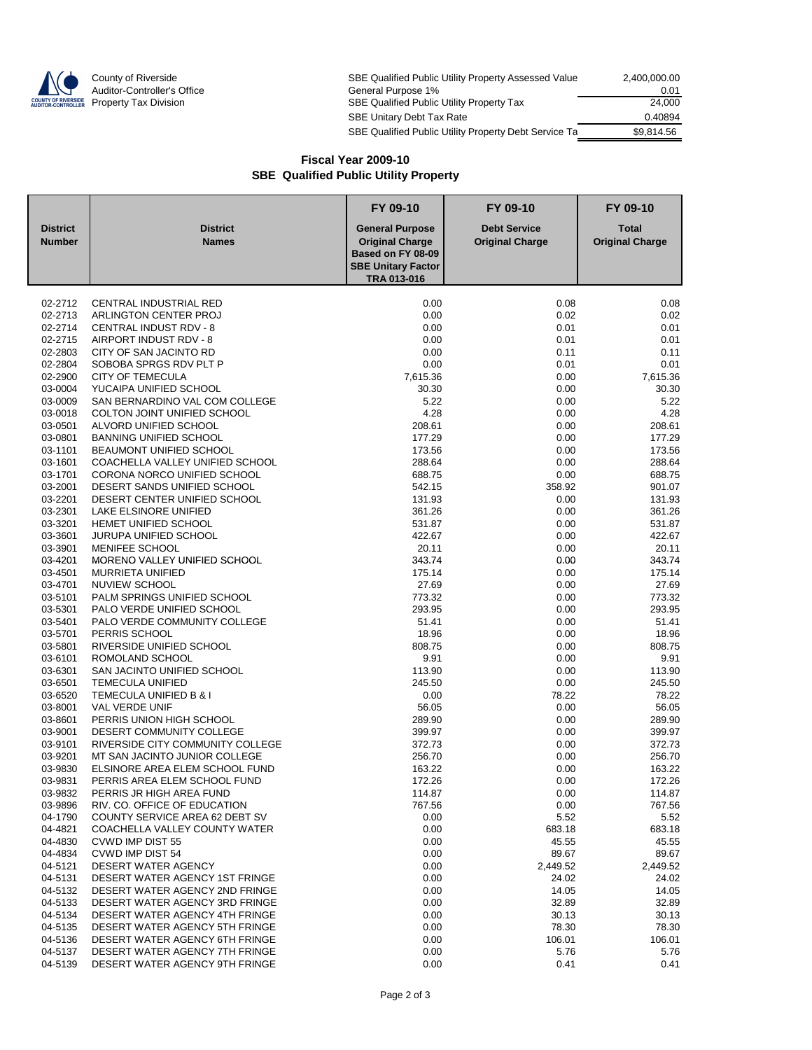

| County of Riverside         | SBE Qualified Public Utility Property Assessed Value  | 2.400.000.00 |
|-----------------------------|-------------------------------------------------------|--------------|
| Auditor-Controller's Office | General Purpose 1%                                    | 0.01         |
| Property Tax Division       | SBE Qualified Public Utility Property Tax             | 24.000       |
|                             | <b>SBE Unitary Debt Tax Rate</b>                      | 0.40894      |
|                             | SBE Qualified Public Utility Property Debt Service Ta | \$9.814.56   |

## **Fiscal Year 2009-10 SBE Qualified Public Utility Property**

|                                  |                                                                       | FY 09-10                                                                                                          | FY 09-10                                      | FY 09-10                               |
|----------------------------------|-----------------------------------------------------------------------|-------------------------------------------------------------------------------------------------------------------|-----------------------------------------------|----------------------------------------|
| <b>District</b><br><b>Number</b> | <b>District</b><br><b>Names</b>                                       | <b>General Purpose</b><br><b>Original Charge</b><br>Based on FY 08-09<br><b>SBE Unitary Factor</b><br>TRA 013-016 | <b>Debt Service</b><br><b>Original Charge</b> | <b>Total</b><br><b>Original Charge</b> |
|                                  |                                                                       |                                                                                                                   |                                               |                                        |
| 02-2712                          | CENTRAL INDUSTRIAL RED                                                | 0.00                                                                                                              | 0.08                                          | 0.08                                   |
| 02-2713                          | ARLINGTON CENTER PROJ                                                 | 0.00                                                                                                              | 0.02                                          | 0.02                                   |
| 02-2714<br>02-2715               | <b>CENTRAL INDUST RDV - 8</b><br>AIRPORT INDUST RDV - 8               | 0.00<br>0.00                                                                                                      | 0.01<br>0.01                                  | 0.01<br>0.01                           |
| 02-2803                          | CITY OF SAN JACINTO RD                                                | 0.00                                                                                                              | 0.11                                          | 0.11                                   |
| 02-2804                          | SOBOBA SPRGS RDV PLT P                                                | 0.00                                                                                                              | 0.01                                          | 0.01                                   |
| 02-2900                          | <b>CITY OF TEMECULA</b>                                               | 7,615.36                                                                                                          | 0.00                                          | 7,615.36                               |
| 03-0004                          | YUCAIPA UNIFIED SCHOOL                                                | 30.30                                                                                                             | 0.00                                          | 30.30                                  |
| 03-0009                          | SAN BERNARDINO VAL COM COLLEGE                                        | 5.22                                                                                                              | 0.00                                          | 5.22                                   |
| 03-0018                          | COLTON JOINT UNIFIED SCHOOL                                           | 4.28                                                                                                              | 0.00                                          | 4.28                                   |
| 03-0501                          | ALVORD UNIFIED SCHOOL                                                 | 208.61                                                                                                            | 0.00                                          | 208.61                                 |
| 03-0801                          | <b>BANNING UNIFIED SCHOOL</b>                                         | 177.29                                                                                                            | 0.00                                          | 177.29                                 |
| 03-1101<br>03-1601               | <b>BEAUMONT UNIFIED SCHOOL</b><br>COACHELLA VALLEY UNIFIED SCHOOL     | 173.56<br>288.64                                                                                                  | 0.00<br>0.00                                  | 173.56<br>288.64                       |
| 03-1701                          | CORONA NORCO UNIFIED SCHOOL                                           | 688.75                                                                                                            | 0.00                                          | 688.75                                 |
| 03-2001                          | DESERT SANDS UNIFIED SCHOOL                                           | 542.15                                                                                                            | 358.92                                        | 901.07                                 |
| 03-2201                          | DESERT CENTER UNIFIED SCHOOL                                          | 131.93                                                                                                            | 0.00                                          | 131.93                                 |
| 03-2301                          | LAKE ELSINORE UNIFIED                                                 | 361.26                                                                                                            | 0.00                                          | 361.26                                 |
| 03-3201                          | <b>HEMET UNIFIED SCHOOL</b>                                           | 531.87                                                                                                            | 0.00                                          | 531.87                                 |
| 03-3601                          | <b>JURUPA UNIFIED SCHOOL</b>                                          | 422.67                                                                                                            | 0.00                                          | 422.67                                 |
| 03-3901                          | <b>MENIFEE SCHOOL</b>                                                 | 20.11                                                                                                             | 0.00                                          | 20.11                                  |
| 03-4201<br>03-4501               | MORENO VALLEY UNIFIED SCHOOL<br><b>MURRIETA UNIFIED</b>               | 343.74<br>175.14                                                                                                  | 0.00<br>0.00                                  | 343.74<br>175.14                       |
| 03-4701                          | NUVIEW SCHOOL                                                         | 27.69                                                                                                             | 0.00                                          | 27.69                                  |
| 03-5101                          | PALM SPRINGS UNIFIED SCHOOL                                           | 773.32                                                                                                            | 0.00                                          | 773.32                                 |
| 03-5301                          | PALO VERDE UNIFIED SCHOOL                                             | 293.95                                                                                                            | 0.00                                          | 293.95                                 |
| 03-5401                          | PALO VERDE COMMUNITY COLLEGE                                          | 51.41                                                                                                             | 0.00                                          | 51.41                                  |
| 03-5701                          | PERRIS SCHOOL                                                         | 18.96                                                                                                             | 0.00                                          | 18.96                                  |
| 03-5801                          | RIVERSIDE UNIFIED SCHOOL                                              | 808.75                                                                                                            | 0.00                                          | 808.75                                 |
| 03-6101                          | ROMOLAND SCHOOL                                                       | 9.91                                                                                                              | 0.00                                          | 9.91                                   |
| 03-6301                          | SAN JACINTO UNIFIED SCHOOL                                            | 113.90                                                                                                            | 0.00                                          | 113.90                                 |
| 03-6501<br>03-6520               | <b>TEMECULA UNIFIED</b><br>TEMECULA UNIFIED B & I                     | 245.50<br>0.00                                                                                                    | 0.00<br>78.22                                 | 245.50<br>78.22                        |
| 03-8001                          | VAL VERDE UNIF                                                        | 56.05                                                                                                             | 0.00                                          | 56.05                                  |
| 03-8601                          | PERRIS UNION HIGH SCHOOL                                              | 289.90                                                                                                            | 0.00                                          | 289.90                                 |
| 03-9001                          | DESERT COMMUNITY COLLEGE                                              | 399.97                                                                                                            | 0.00                                          | 399.97                                 |
| 03-9101                          | RIVERSIDE CITY COMMUNITY COLLEGE                                      | 372.73                                                                                                            | 0.00                                          | 372.73                                 |
| 03-9201                          | MT SAN JACINTO JUNIOR COLLEGE                                         | 256.70                                                                                                            | 0.00                                          | 256.70                                 |
| 03-9830                          | ELSINORE AREA ELEM SCHOOL FUND                                        | 163.22                                                                                                            | 0.00                                          | 163.22                                 |
| 03-9831                          | PERRIS AREA ELEM SCHOOL FUND                                          | 172.26                                                                                                            | 0.00                                          | 172.26                                 |
| 03-9832                          | PERRIS JR HIGH AREA FUND                                              | 114.87                                                                                                            | 0.00                                          | 114.87                                 |
| 03-9896<br>04-1790               | RIV. CO. OFFICE OF EDUCATION<br><b>COUNTY SERVICE AREA 62 DEBT SV</b> | 767.56<br>0.00                                                                                                    | 0.00<br>5.52                                  | 767.56<br>5.52                         |
| 04-4821                          | COACHELLA VALLEY COUNTY WATER                                         | 0.00                                                                                                              | 683.18                                        | 683.18                                 |
| 04-4830                          | <b>CVWD IMP DIST 55</b>                                               | 0.00                                                                                                              | 45.55                                         | 45.55                                  |
| 04-4834                          | CVWD IMP DIST 54                                                      | 0.00                                                                                                              | 89.67                                         | 89.67                                  |
| 04-5121                          | DESERT WATER AGENCY                                                   | 0.00                                                                                                              | 2,449.52                                      | 2,449.52                               |
| 04-5131                          | DESERT WATER AGENCY 1ST FRINGE                                        | 0.00                                                                                                              | 24.02                                         | 24.02                                  |
| 04-5132                          | DESERT WATER AGENCY 2ND FRINGE                                        | 0.00                                                                                                              | 14.05                                         | 14.05                                  |
| 04-5133                          | DESERT WATER AGENCY 3RD FRINGE                                        | 0.00                                                                                                              | 32.89                                         | 32.89                                  |
| 04-5134<br>04-5135               | DESERT WATER AGENCY 4TH FRINGE<br>DESERT WATER AGENCY 5TH FRINGE      | 0.00<br>0.00                                                                                                      | 30.13<br>78.30                                | 30.13<br>78.30                         |
| 04-5136                          | <b>DESERT WATER AGENCY 6TH FRINGE</b>                                 | 0.00                                                                                                              | 106.01                                        | 106.01                                 |
| 04-5137                          | DESERT WATER AGENCY 7TH FRINGE                                        | 0.00                                                                                                              | 5.76                                          | 5.76                                   |
| 04-5139                          | DESERT WATER AGENCY 9TH FRINGE                                        | 0.00                                                                                                              | 0.41                                          | 0.41                                   |